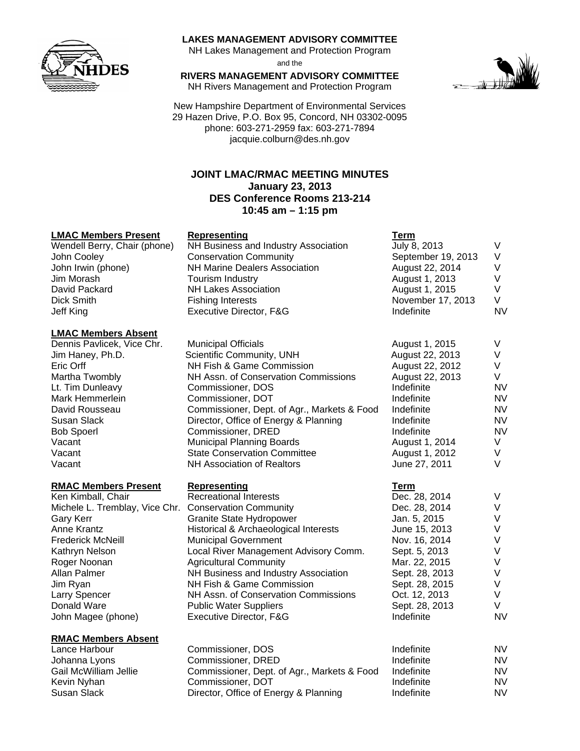

#### **LAKES MANAGEMENT ADVISORY COMMITTEE**

NH Lakes Management and Protection Program and the

**RIVERS MANAGEMENT ADVISORY COMMITTEE**  NH Rivers Management and Protection Program

New Hampshire Department of Environmental Services 29 Hazen Drive, P.O. Box 95, Concord, NH 03302-0095 phone: 603-271-2959 fax: 603-271-7894 jacquie.colburn@des.nh.gov

# **JOINT LMAC/RMAC MEETING MINUTES January 23, 2013 DES Conference Rooms 213-214 10:45 am – 1:15 pm**

# **LMAC Members Present Representing**

Wendell Berry, Chair (phone) NH Business and Industry Association July 8, 2013 V John Cooley **Conservation Community** Conservation Community September 19, 2013 V John Irwin (phone) **NH Marine Dealers Association** August 22, 2014 V Jim Morash **Tourism Industry** August 1, 2013 V David Packard NH Lakes Association Dick Smith **Fishing Interests** November 17, 2013 View 17, 2013 View 17, 2013 View 17, 2013 View 17, 2013 View 1 Jeff King Executive Director, F&G Indefinite NV

# **LMAC Members Absent**

#### **RMAC Members Present Representing**

Ken Kimball, Chair Recreational Interests Michele L. Tremblay, Vice Chr. Conservation Community Gary Kerr Granite State Hydropower Frederick McNeill Municipal Government Jim Ryan NH Fish & Game Commission<br>Larry Spencer NH Assn. of Conservation Com

#### **RMAC Members Absent**

Kevin Nyhan Commissioner, DOT

| LMAC Members Absent        |                                             |                 |           |
|----------------------------|---------------------------------------------|-----------------|-----------|
| Dennis Pavlicek, Vice Chr. | <b>Municipal Officials</b>                  | August 1, 2015  |           |
| Jim Haney, Ph.D.           | Scientific Community, UNH                   | August 22, 2013 |           |
| Eric Orff                  | NH Fish & Game Commission                   | August 22, 2012 |           |
| Martha Twombly             | NH Assn. of Conservation Commissions        | August 22, 2013 | V         |
| Lt. Tim Dunleavy           | Commissioner, DOS                           | Indefinite      | NV.       |
| Mark Hemmerlein            | Commissioner, DOT                           | Indefinite      | NV.       |
| David Rousseau             | Commissioner, Dept. of Agr., Markets & Food | Indefinite      | NV.       |
| Susan Slack                | Director, Office of Energy & Planning       | Indefinite      | NV.       |
| <b>Bob Spoerl</b>          | Commissioner, DRED                          | Indefinite      | <b>NV</b> |
| Vacant                     | <b>Municipal Planning Boards</b>            | August 1, 2014  | V         |
| Vacant                     | <b>State Conservation Committee</b>         | August 1, 2012  | V         |
| Vacant                     | <b>NH Association of Realtors</b>           | June 27, 2011   |           |

Anne Krantz **Historical & Archaeological Interests** Kathryn Nelson Local River Management Advisory Comm. Roger Noonan **Maricultural Community** Mar. 2015 View Mar. 22, 2016 View Mar. 22, 2016 View Mar. 22, 2016 View Ma Allan Palmer NH Business and Industry Association NH Assn. of Conservation Commissions (12, 2014) Donald Ware **Public Water Suppliers** Sept. 28, 2013 Value of the Suppliers Sept. 28, 2013 Value of the Suppliers John Magee (phone) **Executive Director, F&G** Indefinition Nagee Indefinite N

Lance Harbour Commissioner, DOS Johanna Lyons Commissioner, DRED Gail McWilliam Jellie Commissioner, Dept. of Agr., Markets & Food Susan Slack Director, Office of Energy & Planning



| .,<br>۰.<br>v<br>. .<br>. . |  |
|-----------------------------|--|
|                             |  |

| August 1, 2015                                                                                                                                                                                                         | V                                                         |
|------------------------------------------------------------------------------------------------------------------------------------------------------------------------------------------------------------------------|-----------------------------------------------------------|
| November 17, 2013                                                                                                                                                                                                      | V.                                                        |
| Indefinite                                                                                                                                                                                                             | N١                                                        |
| August 1, 2015                                                                                                                                                                                                         | V                                                         |
| August 22, 2013                                                                                                                                                                                                        | V                                                         |
| August 22, 2012                                                                                                                                                                                                        | V                                                         |
| August 22, 2013                                                                                                                                                                                                        | V                                                         |
| Indefinite                                                                                                                                                                                                             | N١                                                        |
| Indefinite                                                                                                                                                                                                             | N١                                                        |
| Indefinite                                                                                                                                                                                                             | N١                                                        |
| Indefinite                                                                                                                                                                                                             | N١                                                        |
| Indefinite                                                                                                                                                                                                             | N١                                                        |
| August 1, 2014                                                                                                                                                                                                         | V                                                         |
| August 1, 2012                                                                                                                                                                                                         | V                                                         |
| June 27, 2011                                                                                                                                                                                                          | V                                                         |
| <u>Term</u><br>Dec. 28, 2014<br>Dec. 28, 2014<br>Jan. 5, 2015<br>June 15, 2013<br>Nov. 16, 2014<br>Sept. 5, 2013<br>Mar. 22, 2015<br>Sept. 28, 2013<br>Sept. 28, 2015<br>Oct. 12, 2013<br>Sept. 28, 2013<br>Indefinite | V<br>V<br>V<br>V<br>V<br>V<br>V<br>V<br>V<br>V<br>V<br>N١ |

| Indefinite | NV |
|------------|----|
| Indefinite | NV |
| Indefinite | NV |
| Indefinite | NV |
| Indefinite | NV |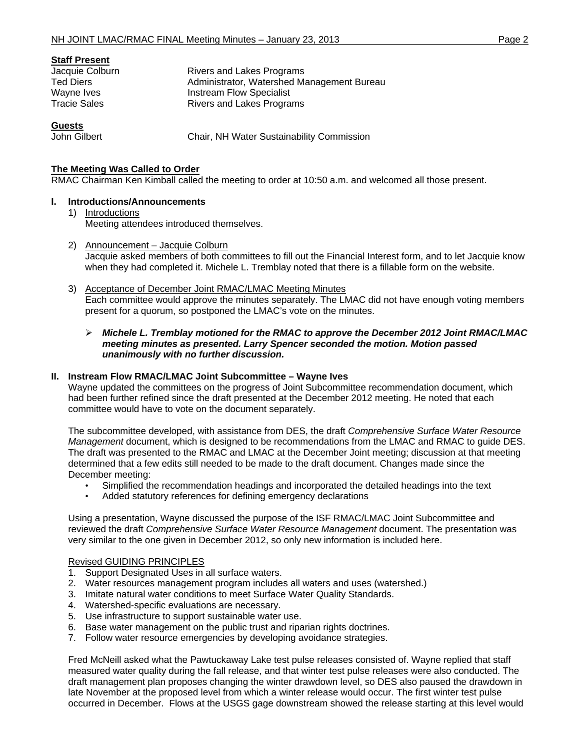| <b>Staff Present</b> |                                            |
|----------------------|--------------------------------------------|
| Jacquie Colburn      | Rivers and Lakes Programs                  |
| <b>Ted Diers</b>     | Administrator, Watershed Management Bureau |
| Wayne Ives           | <b>Instream Flow Specialist</b>            |
| <b>Tracie Sales</b>  | Rivers and Lakes Programs                  |
| $\mathbf{A}$         |                                            |

**Guests**

John Gilbert **Chair, NH Water Sustainability Commission** 

# **The Meeting Was Called to Order**

RMAC Chairman Ken Kimball called the meeting to order at 10:50 a.m. and welcomed all those present.

# **I. Introductions/Announcements**

- 1) Introductions Meeting attendees introduced themselves.
- 2) Announcement Jacquie Colburn Jacquie asked members of both committees to fill out the Financial Interest form, and to let Jacquie know when they had completed it. Michele L. Tremblay noted that there is a fillable form on the website.
- 3) Acceptance of December Joint RMAC/LMAC Meeting Minutes Each committee would approve the minutes separately. The LMAC did not have enough voting members present for a quorum, so postponed the LMAC's vote on the minutes.

#### ¾ *Michele L. Tremblay motioned for the RMAC to approve the December 2012 Joint RMAC/LMAC meeting minutes as presented. Larry Spencer seconded the motion. Motion passed unanimously with no further discussion.*

#### **II. Instream Flow RMAC/LMAC Joint Subcommittee – Wayne Ives**

Wayne updated the committees on the progress of Joint Subcommittee recommendation document, which had been further refined since the draft presented at the December 2012 meeting. He noted that each committee would have to vote on the document separately.

The subcommittee developed, with assistance from DES, the draft *Comprehensive Surface Water Resource Management* document, which is designed to be recommendations from the LMAC and RMAC to guide DES. The draft was presented to the RMAC and LMAC at the December Joint meeting; discussion at that meeting determined that a few edits still needed to be made to the draft document. Changes made since the December meeting:

- Simplified the recommendation headings and incorporated the detailed headings into the text
- Added statutory references for defining emergency declarations

Using a presentation, Wayne discussed the purpose of the ISF RMAC/LMAC Joint Subcommittee and reviewed the draft *Comprehensive Surface Water Resource Management* document. The presentation was very similar to the one given in December 2012, so only new information is included here.

#### Revised GUIDING PRINCIPLES

- 1. Support Designated Uses in all surface waters.
- 2. Water resources management program includes all waters and uses (watershed.)
- 3. Imitate natural water conditions to meet Surface Water Quality Standards.
- 4. Watershed-specific evaluations are necessary.
- 5. Use infrastructure to support sustainable water use.
- 6. Base water management on the public trust and riparian rights doctrines.
- 7. Follow water resource emergencies by developing avoidance strategies.

Fred McNeill asked what the Pawtuckaway Lake test pulse releases consisted of. Wayne replied that staff measured water quality during the fall release, and that winter test pulse releases were also conducted. The draft management plan proposes changing the winter drawdown level, so DES also paused the drawdown in late November at the proposed level from which a winter release would occur. The first winter test pulse occurred in December. Flows at the USGS gage downstream showed the release starting at this level would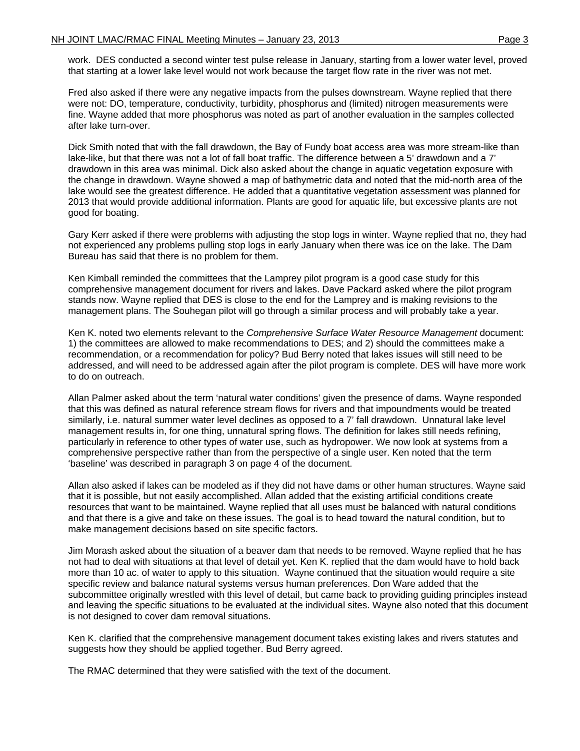work. DES conducted a second winter test pulse release in January, starting from a lower water level, proved that starting at a lower lake level would not work because the target flow rate in the river was not met.

Fred also asked if there were any negative impacts from the pulses downstream. Wayne replied that there were not: DO, temperature, conductivity, turbidity, phosphorus and (limited) nitrogen measurements were fine. Wayne added that more phosphorus was noted as part of another evaluation in the samples collected after lake turn-over.

Dick Smith noted that with the fall drawdown, the Bay of Fundy boat access area was more stream-like than lake-like, but that there was not a lot of fall boat traffic. The difference between a 5' drawdown and a 7' drawdown in this area was minimal. Dick also asked about the change in aquatic vegetation exposure with the change in drawdown. Wayne showed a map of bathymetric data and noted that the mid-north area of the lake would see the greatest difference. He added that a quantitative vegetation assessment was planned for 2013 that would provide additional information. Plants are good for aquatic life, but excessive plants are not good for boating.

Gary Kerr asked if there were problems with adjusting the stop logs in winter. Wayne replied that no, they had not experienced any problems pulling stop logs in early January when there was ice on the lake. The Dam Bureau has said that there is no problem for them.

Ken Kimball reminded the committees that the Lamprey pilot program is a good case study for this comprehensive management document for rivers and lakes. Dave Packard asked where the pilot program stands now. Wayne replied that DES is close to the end for the Lamprey and is making revisions to the management plans. The Souhegan pilot will go through a similar process and will probably take a year.

Ken K. noted two elements relevant to the *Comprehensive Surface Water Resource Management* document: 1) the committees are allowed to make recommendations to DES; and 2) should the committees make a recommendation, or a recommendation for policy? Bud Berry noted that lakes issues will still need to be addressed, and will need to be addressed again after the pilot program is complete. DES will have more work to do on outreach.

Allan Palmer asked about the term 'natural water conditions' given the presence of dams. Wayne responded that this was defined as natural reference stream flows for rivers and that impoundments would be treated similarly, i.e. natural summer water level declines as opposed to a 7' fall drawdown. Unnatural lake level management results in, for one thing, unnatural spring flows. The definition for lakes still needs refining, particularly in reference to other types of water use, such as hydropower. We now look at systems from a comprehensive perspective rather than from the perspective of a single user. Ken noted that the term 'baseline' was described in paragraph 3 on page 4 of the document.

Allan also asked if lakes can be modeled as if they did not have dams or other human structures. Wayne said that it is possible, but not easily accomplished. Allan added that the existing artificial conditions create resources that want to be maintained. Wayne replied that all uses must be balanced with natural conditions and that there is a give and take on these issues. The goal is to head toward the natural condition, but to make management decisions based on site specific factors.

Jim Morash asked about the situation of a beaver dam that needs to be removed. Wayne replied that he has not had to deal with situations at that level of detail yet. Ken K. replied that the dam would have to hold back more than 10 ac. of water to apply to this situation. Wayne continued that the situation would require a site specific review and balance natural systems versus human preferences. Don Ware added that the subcommittee originally wrestled with this level of detail, but came back to providing guiding principles instead and leaving the specific situations to be evaluated at the individual sites. Wayne also noted that this document is not designed to cover dam removal situations.

Ken K. clarified that the comprehensive management document takes existing lakes and rivers statutes and suggests how they should be applied together. Bud Berry agreed.

The RMAC determined that they were satisfied with the text of the document.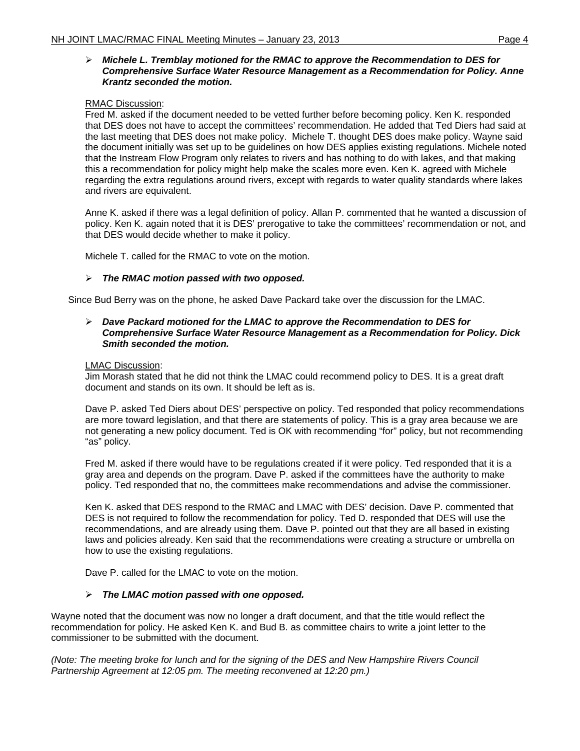# ¾ *Michele L. Tremblay motioned for the RMAC to approve the Recommendation to DES for Comprehensive Surface Water Resource Management as a Recommendation for Policy. Anne Krantz seconded the motion.*

# RMAC Discussion:

Fred M. asked if the document needed to be vetted further before becoming policy. Ken K. responded that DES does not have to accept the committees' recommendation. He added that Ted Diers had said at the last meeting that DES does not make policy. Michele T. thought DES does make policy. Wayne said the document initially was set up to be guidelines on how DES applies existing regulations. Michele noted that the Instream Flow Program only relates to rivers and has nothing to do with lakes, and that making this a recommendation for policy might help make the scales more even. Ken K. agreed with Michele regarding the extra regulations around rivers, except with regards to water quality standards where lakes and rivers are equivalent.

Anne K. asked if there was a legal definition of policy. Allan P. commented that he wanted a discussion of policy. Ken K. again noted that it is DES' prerogative to take the committees' recommendation or not, and that DES would decide whether to make it policy.

Michele T. called for the RMAC to vote on the motion.

# ¾ *The RMAC motion passed with two opposed.*

Since Bud Berry was on the phone, he asked Dave Packard take over the discussion for the LMAC.

#### ¾ *Dave Packard motioned for the LMAC to approve the Recommendation to DES for Comprehensive Surface Water Resource Management as a Recommendation for Policy. Dick Smith seconded the motion.*

# LMAC Discussion:

Jim Morash stated that he did not think the LMAC could recommend policy to DES. It is a great draft document and stands on its own. It should be left as is.

Dave P. asked Ted Diers about DES' perspective on policy. Ted responded that policy recommendations are more toward legislation, and that there are statements of policy. This is a gray area because we are not generating a new policy document. Ted is OK with recommending "for" policy, but not recommending "as" policy.

Fred M. asked if there would have to be regulations created if it were policy. Ted responded that it is a gray area and depends on the program. Dave P. asked if the committees have the authority to make policy. Ted responded that no, the committees make recommendations and advise the commissioner.

Ken K. asked that DES respond to the RMAC and LMAC with DES' decision. Dave P. commented that DES is not required to follow the recommendation for policy. Ted D. responded that DES will use the recommendations, and are already using them. Dave P. pointed out that they are all based in existing laws and policies already. Ken said that the recommendations were creating a structure or umbrella on how to use the existing regulations.

Dave P. called for the LMAC to vote on the motion.

# ¾ *The LMAC motion passed with one opposed.*

Wayne noted that the document was now no longer a draft document, and that the title would reflect the recommendation for policy. He asked Ken K. and Bud B. as committee chairs to write a joint letter to the commissioner to be submitted with the document.

*(Note: The meeting broke for lunch and for the signing of the DES and New Hampshire Rivers Council Partnership Agreement at 12:05 pm. The meeting reconvened at 12:20 pm.)*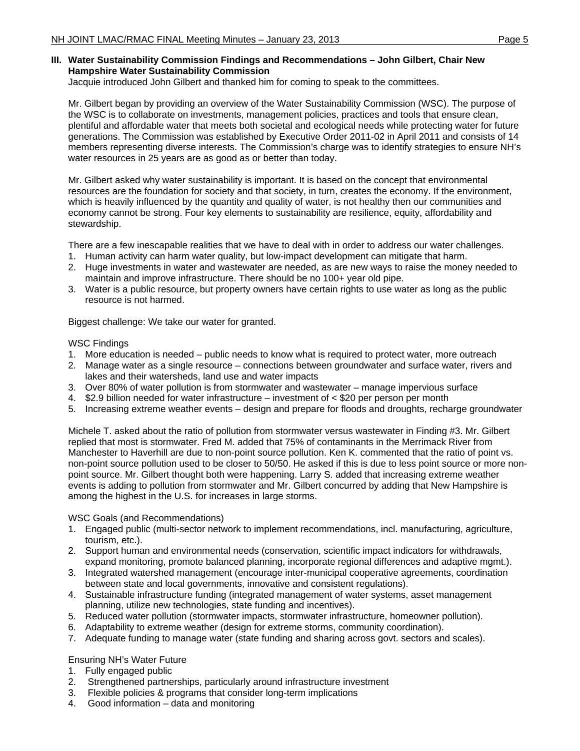# **III. Water Sustainability Commission Findings and Recommendations – John Gilbert, Chair New Hampshire Water Sustainability Commission**

Jacquie introduced John Gilbert and thanked him for coming to speak to the committees.

Mr. Gilbert began by providing an overview of the Water Sustainability Commission (WSC). The purpose of the WSC is to collaborate on investments, management policies, practices and tools that ensure clean, plentiful and affordable water that meets both societal and ecological needs while protecting water for future generations. The Commission was established by Executive Order 2011-02 in April 2011 and consists of 14 members representing diverse interests. The Commission's charge was to identify strategies to ensure NH's water resources in 25 years are as good as or better than today.

Mr. Gilbert asked why water sustainability is important. It is based on the concept that environmental resources are the foundation for society and that society, in turn, creates the economy. If the environment, which is heavily influenced by the quantity and quality of water, is not healthy then our communities and economy cannot be strong. Four key elements to sustainability are resilience, equity, affordability and stewardship.

There are a few inescapable realities that we have to deal with in order to address our water challenges.

- 1. Human activity can harm water quality, but low-impact development can mitigate that harm.
- 2. Huge investments in water and wastewater are needed, as are new ways to raise the money needed to maintain and improve infrastructure. There should be no 100+ year old pipe.
- 3. Water is a public resource, but property owners have certain rights to use water as long as the public resource is not harmed.

Biggest challenge: We take our water for granted.

# WSC Findings

- 1. More education is needed public needs to know what is required to protect water, more outreach
- 2. Manage water as a single resource connections between groundwater and surface water, rivers and lakes and their watersheds, land use and water impacts
- 3. Over 80% of water pollution is from stormwater and wastewater manage impervious surface
- 4. \$2.9 billion needed for water infrastructure investment of < \$20 per person per month
- 5. Increasing extreme weather events design and prepare for floods and droughts, recharge groundwater

Michele T. asked about the ratio of pollution from stormwater versus wastewater in Finding #3. Mr. Gilbert replied that most is stormwater. Fred M. added that 75% of contaminants in the Merrimack River from Manchester to Haverhill are due to non-point source pollution. Ken K. commented that the ratio of point vs. non-point source pollution used to be closer to 50/50. He asked if this is due to less point source or more nonpoint source. Mr. Gilbert thought both were happening. Larry S. added that increasing extreme weather events is adding to pollution from stormwater and Mr. Gilbert concurred by adding that New Hampshire is among the highest in the U.S. for increases in large storms.

#### WSC Goals (and Recommendations)

- 1. Engaged public (multi-sector network to implement recommendations, incl. manufacturing, agriculture, tourism, etc.).
- 2. Support human and environmental needs (conservation, scientific impact indicators for withdrawals, expand monitoring, promote balanced planning, incorporate regional differences and adaptive mgmt.).
- 3. Integrated watershed management (encourage inter-municipal cooperative agreements, coordination between state and local governments, innovative and consistent regulations).
- 4. Sustainable infrastructure funding (integrated management of water systems, asset management planning, utilize new technologies, state funding and incentives).
- 5. Reduced water pollution (stormwater impacts, stormwater infrastructure, homeowner pollution).
- 6. Adaptability to extreme weather (design for extreme storms, community coordination).
- 7. Adequate funding to manage water (state funding and sharing across govt. sectors and scales).

# Ensuring NH's Water Future

- 1. Fully engaged public
- 2. Strengthened partnerships, particularly around infrastructure investment
- 3. Flexible policies & programs that consider long-term implications
- 4. Good information data and monitoring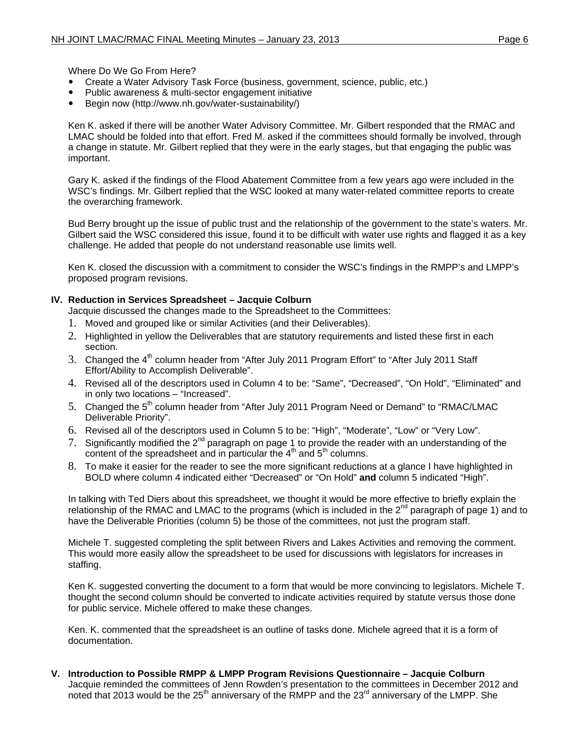Where Do We Go From Here?

- Create a Water Advisory Task Force (business, government, science, public, etc.)
- Public awareness & multi-sector engagement initiative
- Begin now (http://www.nh.gov/water-sustainability/)

Ken K. asked if there will be another Water Advisory Committee. Mr. Gilbert responded that the RMAC and LMAC should be folded into that effort. Fred M. asked if the committees should formally be involved, through a change in statute. Mr. Gilbert replied that they were in the early stages, but that engaging the public was important.

Gary K. asked if the findings of the Flood Abatement Committee from a few years ago were included in the WSC's findings. Mr. Gilbert replied that the WSC looked at many water-related committee reports to create the overarching framework.

Bud Berry brought up the issue of public trust and the relationship of the government to the state's waters. Mr. Gilbert said the WSC considered this issue, found it to be difficult with water use rights and flagged it as a key challenge. He added that people do not understand reasonable use limits well.

Ken K. closed the discussion with a commitment to consider the WSC's findings in the RMPP's and LMPP's proposed program revisions.

# **IV. Reduction in Services Spreadsheet – Jacquie Colburn**

Jacquie discussed the changes made to the Spreadsheet to the Committees:

- 1. Moved and grouped like or similar Activities (and their Deliverables).
- 2. Highlighted in yellow the Deliverables that are statutory requirements and listed these first in each section.
- 3. Changed the 4<sup>th</sup> column header from "After July 2011 Program Effort" to "After July 2011 Staff Effort/Ability to Accomplish Deliverable".
- 4. Revised all of the descriptors used in Column 4 to be: "Same", "Decreased", "On Hold", "Eliminated" and in only two locations – "Increased".
- 5. Changed the 5<sup>th</sup> column header from "After July 2011 Program Need or Demand" to "RMAC/LMAC Deliverable Priority".
- 6. Revised all of the descriptors used in Column 5 to be: "High", "Moderate", "Low" or "Very Low".
- 7. Significantly modified the  $2^{nd}$  paragraph on page 1 to provide the reader with an understanding of the content of the spreadsheet and in particular the  $4<sup>th</sup>$  and  $5<sup>th</sup>$  columns.
- 8. To make it easier for the reader to see the more significant reductions at a glance I have highlighted in BOLD where column 4 indicated either "Decreased" or "On Hold" **and** column 5 indicated "High".

In talking with Ted Diers about this spreadsheet, we thought it would be more effective to briefly explain the relationship of the RMAC and LMAC to the programs (which is included in the  $2^{nd}$  paragraph of page 1) and to have the Deliverable Priorities (column 5) be those of the committees, not just the program staff.

Michele T. suggested completing the split between Rivers and Lakes Activities and removing the comment. This would more easily allow the spreadsheet to be used for discussions with legislators for increases in staffing.

Ken K. suggested converting the document to a form that would be more convincing to legislators. Michele T. thought the second column should be converted to indicate activities required by statute versus those done for public service. Michele offered to make these changes.

Ken. K. commented that the spreadsheet is an outline of tasks done. Michele agreed that it is a form of documentation.

**V. Introduction to Possible RMPP & LMPP Program Revisions Questionnaire – Jacquie Colburn**  Jacquie reminded the committees of Jenn Rowden's presentation to the committees in December 2012 and noted that 2013 would be the  $25<sup>th</sup>$  anniversary of the RMPP and the  $23<sup>rd</sup>$  anniversary of the LMPP. She